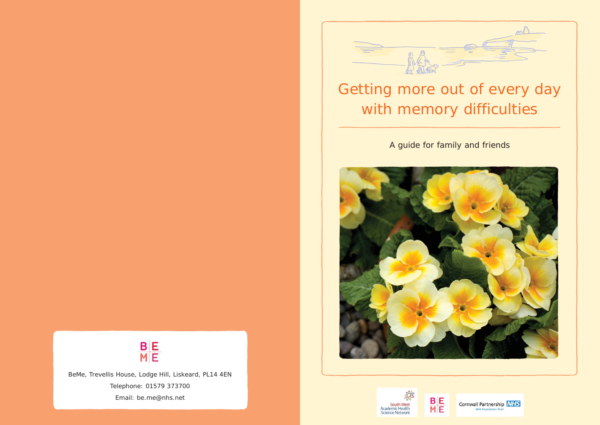

# Getting more out of every day with memory difficulties

A guide for family and friends







BeMe, Trevellis House, Lodge Hill, Liskeard, PL14 4EN Telephone: 01579 373700 Email: be.me@nhs.net

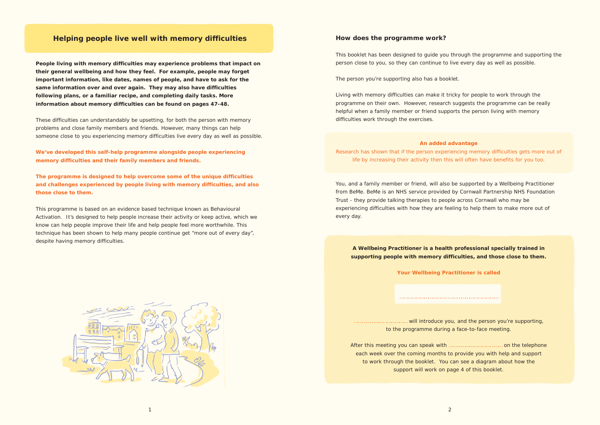## **Helping people live well with memory difficulties**

**People living with memory difficulties may experience problems that impact on their general wellbeing and how they feel. For example, people may forget important information, like dates, names of people, and have to ask for the same information over and over again. They may also have difficulties following plans, or a familiar recipe, and completing daily tasks. More information about memory difficulties can be found on pages 47-48.** 

These difficulties can understandably be upsetting, for both the person with memory problems and close family members and friends. However, many things can help someone close to you experiencing memory difficulties live every day as well as possible.

**We've developed this self-help programme alongside people experiencing memory difficulties and their family members and friends.** 

**The programme is designed to help overcome some of the unique difficulties and challenges experienced by people living with memory difficulties, and also those close to them.**

This programme is based on an evidence based technique known as Behavioural Activation. It's designed to help people increase their activity or keep active, which we know can help people improve their life and help people feel more worthwhile. This technique has been shown to help many people continue get "more out of every day", despite having memory difficulties.



will introduce you, and the person you're supporting, to the programme during a face-to-face meeting.

1

### **How does the programme work?**

This booklet has been designed to guide you through the programme and supporting the person close to you, so they can continue to live every day as well as possible.

The person you're supporting also has a booklet.

Living with memory difficulties can make it tricky for people to work through the programme on their own. However, research suggests the programme can be really helpful when a family member or friend supports the person living with memory difficulties work through the exercises.

**An added advantage** Research has shown that if the person experiencing memory difficulties gets more out of life by increasing their activity then this will often have benefits for you too.

You, and a family member or friend, will also be supported by a Wellbeing Practitioner from BeMe. BeMe is an NHS service provided by Cornwall Partnership NHS Foundation Trust - they provide talking therapies to people across Cornwall who may be experiencing difficulties with how they are feeling to help them to make more out of every day.

**A Wellbeing Practitioner is a health professional specially trained in supporting people with memory difficulties, and those close to them.**

### **Your Wellbeing Practitioner is called**

………………………………………………………………

After this meeting you can speak with ………………………………… on the telephone each week over the coming months to provide you with help and support to work through the booklet. You can see a diagram about how the support will work on page 4 of this booklet.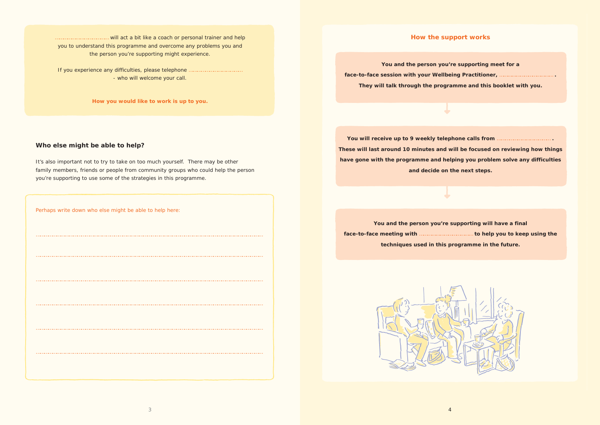## **How the support works**

**You and the person you're supporting meet for a face-to-face session with your Wellbeing Practitioner,** ………………………………… **. They will talk through the programme and this booklet with you.**

You will receive up to 9 weekly telephone calls from **These will last around 10 minutes and will be focused on reviewing how things have gone with the programme and helping you problem solve any difficulties and decide on the next steps.** 

will act a bit like a coach or personal trainer and help you to understand this programme and overcome any problems you and the person you're supporting might experience.

If you experience any difficulties, please telephone - who will welcome your call.

> **You and the person you're supporting will have a final face-to-face meeting with** ………………………………… **to help you to keep using the techniques used in this programme in the future.**



It's also important not to try to take on too much yourself. There may be other family members, friends or people from community groups who could help the person you're supporting to use some of the strategies in this programme.

**How you would like to work is up to you.**

## **Who else might be able to help?**

Perhaps write down who else might be able to help here:

…………………………………………………………………………………………………………………………………………………

…………………………………………………………………………………………………………………………………………………

…………………………………………………………………………………………………………………………………………………

…………………………………………………………………………………………………………………………………………………

…………………………………………………………………………………………………………………………………………………

…………………………………………………………………………………………………………………………………………………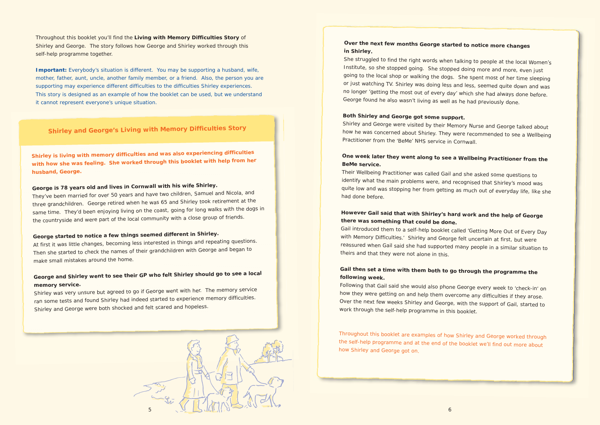## **Over the next few months George started to notice more changes in Shirley.**

She struggled to find the right words when talking to people at the local Women's Institute, so she stopped going. She stopped doing more and more, even just going to the local shop or walking the dogs. She spent most of her time sleeping or just watching TV. Shirley was doing less and less, seemed quite down and was no longer 'getting the most out of every day' which she had always done before. George found he also wasn't living as well as he had previously done.

## **Both Shirley and George got some support.**

Shirley and George were visited by their Memory Nurse and George talked about how he was concerned about Shirley. They were recommended to see a Wellbeing Practitioner from the 'BeMe' NHS service in Cornwall.

Following that Gail said she would also phone George every week to 'check-in' on how they were getting on and help them overcome any difficulties if they arose. Over the next few weeks Shirley and George, with the support of Gail, started to work through the self-help programme in this booklet.

## **One week later they went along to see a Wellbeing Practitioner from the BeMe service.**

Their Wellbeing Practitioner was called Gail and she asked some questions to identify what the main problems were, and recognised that Shirley's mood was quite low and was stopping her from getting as much out of everyday life, like she had done before.

**However Gail said that with Shirley's hard work and the help of George there was something that could be done.**  Gail introduced them to a self-help booklet called 'Getting More Out of Every Day with Memory Difficulties.' Shirley and George felt uncertain at first, but were reassured when Gail said she had supported many people in a similar situation to theirs and that they were not alone in this.

## **Gail then set a time with them both to go through the programme the following week.**

At first it was little changes, becoming less interested in things and repeating questions. Then she started to check the names of their grandchildren with George and began to make small mistakes around the home.

> Throughout this booklet are examples of how Shirley and George worked through the self-help programme and at the end of the booklet we'll find out more about how Shirley and George got on.



Throughout this booklet you'll find the **Living with Memory Difficulties Story** of Shirley and George. The story follows how George and Shirley worked through this self-help programme together.

**Important:** Everybody's situation is different. You may be supporting a husband, wife, mother, father, aunt, uncle, another family member, or a friend. Also, the person you are supporting may experience different difficulties to the difficulties Shirley experiences. This story is designed as an example of how the booklet can be used, but we understand it cannot represent everyone's unique situation.

# **Shirley and George's Living with Memory Difficulties Story**

**Shirley is living with memory difficulties and was also experiencing difficulties with how she was feeling. She worked through this booklet with help from her husband, George.** 

# **George is 78 years old and lives in Cornwall with his wife Shirley.**

They've been married for over 50 years and have two children, Samuel and Nicola, and three grandchildren. George retired when he was 65 and Shirley took retirement at the same time. They'd been enjoying living on the coast, going for long walks with the dogs in the countryside and were part of the local community with a close group of friends.

# **George started to notice a few things seemed different in Shirley.**

## **George and Shirley went to see their GP who felt Shirley should go to see a local memory service.**

Shirley was very unsure but agreed to go if George went with her. The memory service ran some tests and found Shirley had indeed started to experience memory difficulties. Shirley and George were both shocked and felt scared and hopeless.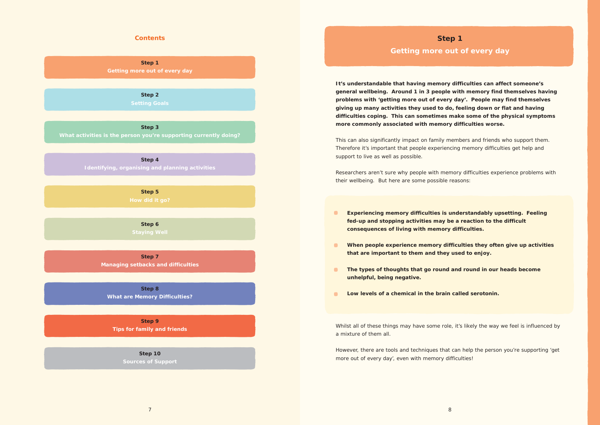### **Contents**

**Step 1 Getting more out of every day**

**Step 2** 

**Step 3 What activities is the person you're supporting currently doing?**

> **Step 4 Identifying, organising and planning activities**

> > **Step 5**

**Step 6**

**Step 7 Managing setbacks and difficulties**

**Step 8 What are Memory Difficulties?**

**Step 9 Tips for family and friends**

> **Step 10 Sources of Support**

# **Step 1 Getting more out of every day**

This can also significantly impact on family members and friends who support them. Therefore it's important that people experiencing memory difficulties get help and support to live as well as possible.

**It's understandable that having memory difficulties can affect someone's general wellbeing. Around 1 in 3 people with memory find themselves having problems with 'getting more out of every day'. People may find themselves giving up many activities they used to do, feeling down or flat and having difficulties coping. This can sometimes make some of the physical symptoms more commonly associated with memory difficulties worse.** 

Whilst all of these things may have some role, it's likely the way we feel is influenced by a mixture of them all.

Researchers aren't sure why people with memory difficulties experience problems with their wellbeing. But here are some possible reasons:

- $\bullet$ **Experiencing memory difficulties is understandably upsetting. Feeling fed-up and stopping activities may be a reaction to the difficult consequences of living with memory difficulties.**
- $\bullet$ **that are important to them and they used to enjoy.**
- **The types of thoughts that go round and round in our heads become**   $\bullet$ **unhelpful, being negative.**
- **Low levels of a chemical in the brain called serotonin.**   $\blacksquare$

**When people experience memory difficulties they often give up activities** 

However, there are tools and techniques that can help the person you're supporting 'get more out of every day', even with memory difficulties!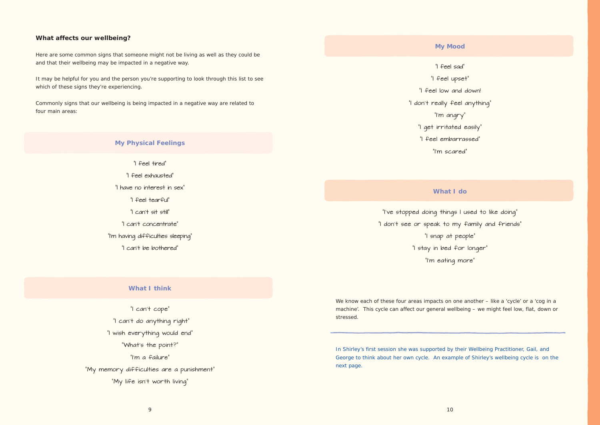## **What affects our wellbeing?**

Here are some common signs that someone might not be living as well as they could be and that their wellbeing may be impacted in a negative way.

It may be helpful for you and the person you're supporting to look through this list to see which of these signs they're experiencing.

Commonly signs that our wellbeing is being impacted in a negative way are related to four main areas:

## **My Physical Feelings**

"I feel tired" "I feel exhausted" "I have no interest in sex" "I feel tearful" "I can't sit still" "I can't concentrate" "I'm having difficulties sleeping" "I can't be bothered"

### **What I think**

We know each of these four areas impacts on one another – like a 'cycle' or a 'cog in a machine'. This cycle can affect our general wellbeing – we might feel low, flat, down or stressed.

"I can't cope" "I can't do anything right" "I wish everything would end" "What's the point?" "I'm a failure" "My memory difficulties are a punishment" "My life isn't worth living"

### **My Mood**

"I feel sad"

"I feel upset"

"I feel low and down!

"I don't really feel anything"

"I'm angry"

"I get irritated easily"

```
"I feel embarrassed"
```
"I'm scared"

## **What I do**

"I've stopped doing things I used to like doing" "I don't see or speak to my family and friends" "I snap at people" "I stay in bed for longer"

```
"I'm eating more"
```
In Shirley's first session she was supported by their Wellbeing Practitioner, Gail, and George to think about her own cycle. An example of Shirley's wellbeing cycle is on the next page.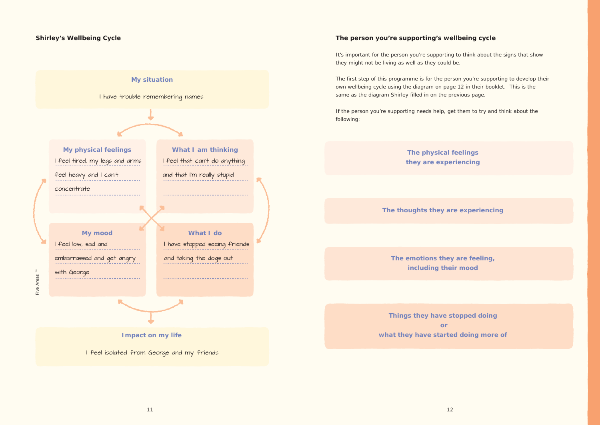## **The person you're supporting's wellbeing cycle**

It's important for the person you're supporting to think about the signs that show they might not be living as well as they could be.

The first step of this programme is for the person you're supporting to develop their own wellbeing cycle using the diagram on page 12 in their booklet. This is the same as the diagram Shirley filled in on the previous page.

If the person you're supporting needs help, get them to try and think about the following:

> **The physical feelings they are experiencing**

**The thoughts they are experiencing**

**The emotions they are feeling, including their mood**

**Things they have stopped doing or what they have started doing more of**



## **Shirley's Wellbeing Cycle**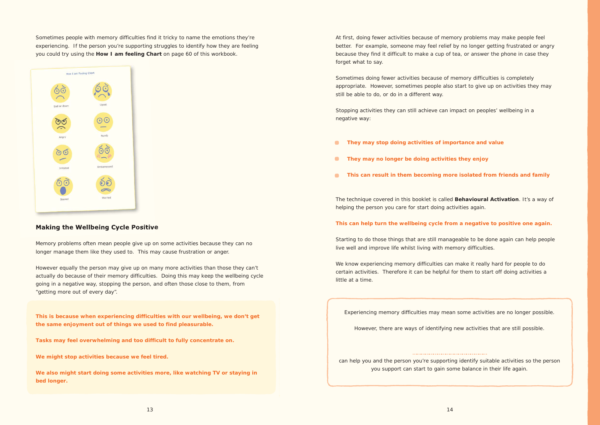At first, doing fewer activities because of memory problems may make people feel better. For example, someone may feel relief by no longer getting frustrated or angry because they find it difficult to make a cup of tea, or answer the phone in case they forget what to say.

- **They may stop doing activities of importance and value**
- **They may no longer be doing activities they enjoy**   $\bullet$
- $\bullet$ **This can result in them becoming more isolated from friends and family**

Sometimes doing fewer activities because of memory difficulties is completely appropriate. However, sometimes people also start to give up on activities they may still be able to do, or do in a different way.

Stopping activities they can still achieve can impact on peoples' wellbeing in a negative way:

The technique covered in this booklet is called **Behavioural Activation**. It's a way of helping the person you care for start doing activities again.

### **This can help turn the wellbeing cycle from a negative to positive one again.**

Starting to do those things that are still manageable to be done again can help people live well and improve life whilst living with memory difficulties.

We know experiencing memory difficulties can make it really hard for people to do certain activities. Therefore it can be helpful for them to start off doing activities a little at a time.

Experiencing memory difficulties may mean some activities are no longer possible.

However, there are ways of identifying new activities that are still possible.

………………………………………………

can help you and the person you're supporting identify suitable activities so the person you support can start to gain some balance in their life again.

Sometimes people with memory difficulties find it tricky to name the emotions they're experiencing. If the person you're supporting struggles to identify how they are feeling you could try using the **How I am feeling Chart** on page 60 of this workbook.



## **Making the Wellbeing Cycle Positive**

Memory problems often mean people give up on some activities because they can no longer manage them like they used to. This may cause frustration or anger.

However equally the person may give up on many more activities than those they can't actually do because of their memory difficulties. Doing this may keep the wellbeing cycle going in a negative way, stopping the person, and often those close to them, from "getting more out of every day".

**This is because when experiencing difficulties with our wellbeing, we don't get the same enjoyment out of things we used to find pleasurable.** 

**Tasks may feel overwhelming and too difficult to fully concentrate on.** 

**We might stop activities because we feel tired.** 

**We also might start doing some activities more, like watching TV or staying in bed longer.**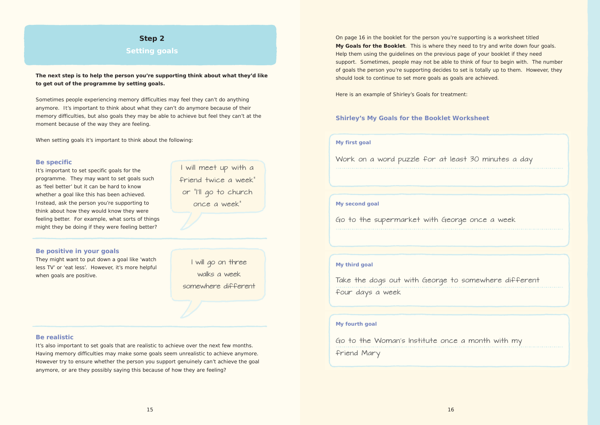On page 16 in the booklet for the person you're supporting is a worksheet titled **My Goals for the Booklet**. This is where they need to try and write down four goals. Help them using the guidelines on the previous page of your booklet if they need support. Sometimes, people may not be able to think of four to begin with. The number of goals the person you're supporting decides to set is totally up to them. However, they should look to continue to set more goals as goals are achieved.

Here is an example of Shirley's Goals for treatment:

### **Shirley's My Goals for the Booklet Worksheet**

### **My first goal**

### **My second goal**

### **My third goal**

### **My fourth goal**

## **Step 2**

## **Setting goals**

**The next step is to help the person you're supporting think about what they'd like to get out of the programme by setting goals.**

It's also important to set goals that are realistic to achieve over the next few months. Having memory difficulties may make some goals seem unrealistic to achieve anymore. However try to ensure whether the person you support genuinely can't achieve the goal anymore, or are they possibly saying this because of how they are feeling?

Sometimes people experiencing memory difficulties may feel they can't do anything anymore. It's important to think about what they can't do anymore because of their memory difficulties, but also goals they may be able to achieve but feel they can't at the moment because of the way they are feeling.

When setting goals it's important to think about the following:

### **Be specific**

It's important to set specific goals for the programme. They may want to set goals such as 'feel better' but it can be hard to know whether a goal like this has been achieved. Instead, ask the person you're supporting to think about how they would know they were feeling better. For example, what sorts of things might they be doing if they were feeling better?

> ………………………………………………………………………………………………………………………………………………… Take the dogs out with George to somewhere different four days a week

> ………………………………………………………………………………………………………………………………………………… Go to the Woman's Institute once a month with my friend Mary

### **Be positive in your goals**

They might want to put down a goal like 'watch less TV' or 'eat less'. However, it's more helpful when goals are positive.

### **Be realistic**

I will meet up with a friend twice a week" or "I'll go to church once a week"

I will go on three walks a week somewhere different Work on a word puzzle for at least 30 minutes a day

Go to the supermarket with George once a week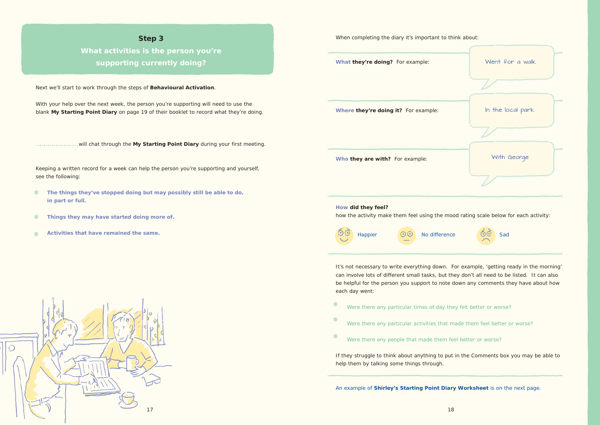When completing the diary it's important to think about:

**What they're doing?** For example:

**Where they're doing it?** For example:

**Who they are with?** For example:

## **How did they feel?**

 $\bullet$ 

how the activity make them feel using the mood rating scale below for each activity:



It's not necessary to write everything down. For example, 'getting ready in the morning' can involve lots of different small tasks, but they don't all need to be listed. It can also be helpful for the person you support to note down any comments they have about how each day went:

- $\bullet$ Were there any particular times of day they felt better or worse?
	- Were there any particular activities that made them feel better or worse?
- $\bullet$ Were there any people that made them feel better or worse?

If they struggle to think about anything to put in the Comments box you may be able to help them by talking some things through.

An example of **Shirley's Starting Point Diary Worksheet** is on the next page.



**Step 3**

**What activities is the person you're** 

**supporting currently doing?**

| With your help over the next week, the person you're supporting will need to use the<br>blank My Starting Point Diary on page 19 of their booklet to record what they're doing.<br>Keeping a written record for a week can help the person you're supporting and yourself,<br>see the following:<br>The things they've stopped doing but may possibly still be able to do,<br>$\bullet$<br>in part or full.<br>$\begin{array}{c} \bullet \\ \bullet \end{array}$<br>Things they may have started doing more of.<br>Activities that have remained the same.<br>$\bullet$<br><b>Service</b> | Next we'll start to work through the steps of Behavioural Activation. |
|-------------------------------------------------------------------------------------------------------------------------------------------------------------------------------------------------------------------------------------------------------------------------------------------------------------------------------------------------------------------------------------------------------------------------------------------------------------------------------------------------------------------------------------------------------------------------------------------|-----------------------------------------------------------------------|
|                                                                                                                                                                                                                                                                                                                                                                                                                                                                                                                                                                                           |                                                                       |
|                                                                                                                                                                                                                                                                                                                                                                                                                                                                                                                                                                                           |                                                                       |
|                                                                                                                                                                                                                                                                                                                                                                                                                                                                                                                                                                                           |                                                                       |
|                                                                                                                                                                                                                                                                                                                                                                                                                                                                                                                                                                                           |                                                                       |
|                                                                                                                                                                                                                                                                                                                                                                                                                                                                                                                                                                                           |                                                                       |
|                                                                                                                                                                                                                                                                                                                                                                                                                                                                                                                                                                                           |                                                                       |
|                                                                                                                                                                                                                                                                                                                                                                                                                                                                                                                                                                                           |                                                                       |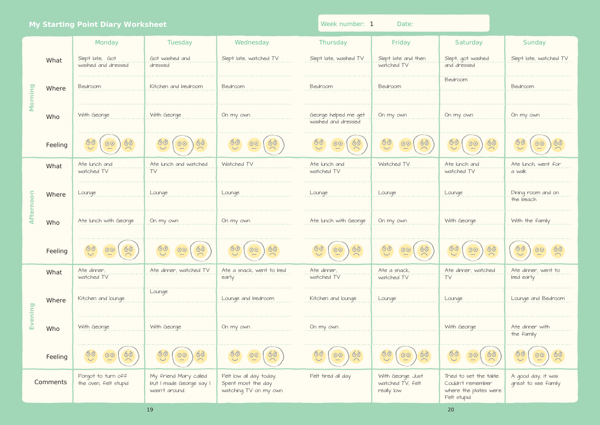## **My Starting Point Diary Worksheet**

Week number: 1 Date:

Monday **Tuesday** Wednesday Thursday **Friday Saturday** Saturday Sunday Slept late and then Slept late, Got Got washed and Slept late, washed TV What Slept late, Got **can be a state of the state of washed and Slept late**, watched IV Slept late, washed TV | Slept late and then | Slept, got washed | Slept late, watched TV | washed and dressed watched TV dressed ………………………………………………………………………………………………………………… ……………………………………………………………………………………………………………………………………………… Bedroom Bedroom Bedroom Bedroom Morning **Evening Afternoon Morning** Where Bedroom Kitchen and bedroom Bedroom Bedroom ……………………………………………………………………………………………………………………………………………… ………………………………………………………………………………………………………………… ……………………………………………………………………………………………………………………………………………… With George With George On my own On my own George helped me get Con my own Control Con my own Con my own Con my own Who with george with george with the same with the same with the same with  $\frac{1}{2}$  with  $\frac{1}{2}$  with  $\frac{1}{2}$  with  $\frac{1}{2}$  with  $\frac{1}{2}$  with  $\frac{1}{2}$  with  $\frac{1}{2}$  with  $\frac{1}{2}$  with  $\frac{1}{2}$  with  $\frac{1}{2}$  wi washed and dressed ………………………………………………………………………………………………………………… ………………………………………………………………………………………………………………………………………………  $60$  $6\delta$  $6<sub>o</sub>$  $6\delta$  $60$  $6\delta$  $6$ o  $\odot$  $6$ o  $\odot$ රි  $6<sub>o</sub>$  $\odot$  $\odot$  $\odot$ Feeling Ate lunch and Watched TV Ate lunch and Watched TV What Ate lunch and **Exercise 2018** Ate lunch and watched **Watched IV** watched IV and the lunch and the lunch and the lunch and the lunch and the lunch and the lunch and the lunch and the lunch and the lunch and the lunch and the lunch and the lunch and the lunch and the lunch and the lunch a watched TV TV watched TV ………………………………………………………………………………………………………………… ……………………………………………………………………………………………………………………………………………… Lounge Lounge Lounge Afternoon Lounge Lounge Lounge Lounge Lounge Lounge Lounge Dining room and on Where Lounge Lounge Lounge Lounge Merce 1 ………………………………………………………………………………………………………………… ……………………………………………………………………………………………………………………………………………… On my own On my own On my own Who Ate lunch with George Ch my own Change on my own Change own Ate lunch with George 10n my own 2000 Nith George 100 With the Family ………………………………………………………………………………………………………………… ………………………………………………………………………………………………………………………………………………  $\frac{6}{3}$  $\frac{6}{3}$  $\frac{6}{6}$  $60$  $60$  $60$  $6<sub>o</sub>$  $6<sub>o</sub>$  $6$ ා  $\frac{6}{6}$  $\odot$  $\odot$  $\odot$  $\odot$  $\odot$ Feeling Ate dinner, Ate dinner, watched TV Ate dinner, Ate a snack, What Rite dinner, watched IV Ate a snack, went to bed Ate dinner, the dinner and the different of the dinner, watched and the dinner, went to the dinner went to the dinner and the dinner and the dinner and the dinner and the dinner and the dinner and the dinner and the dinner watched TV watched TV watched TV TV early ………………………………………………………………………………………………………………… ……………………………………………………………………………………………………………………………………………… Lounge Kitchen and lounge Kitchen and lounge Lounge Where Kitchen and lounge **with an and lounge in the set of the set of the Second Contract of the Second Contract of the Second Contract of the Second Contract of the Second Contract of the Second Contract of the Second Con** ……………………………………………………………………………………………………………………………………………… Lounge and Bedroom Evening ………………………………………………………………………………………………………………… ……………………………………………………………………………………………………………………………………………… On my own With George On my own With George Who with george with george with the same with the same with the same with  $\frac{1}{2}$  with  $\frac{1}{2}$  with  $\frac{1}{2}$  with  $\frac{1}{2}$  with  $\frac{1}{2}$  with  $\frac{1}{2}$  with  $\frac{1}{2}$  with  $\frac{1}{2}$  with  $\frac{1}{2}$  with  $\frac{1}{2}$  wi ……………………………………………………………………………………………………………………………………………… ………………………………………………………………………………………………………………… ……………………………………………………………………………………………………………………………………………… 60 60  $\frac{1}{6}$  $6$ ờ  $6<sub>o</sub>$  $\circledcirc$  $\frac{6}{6}$  $6$ o  $\odot$  $6$  $O$  $6$  $6$ ා  $\odot$  $\odot$ Feeling Forgot to turn off My friend Mary called Felt low all day today. With George. Just Felt tired all day **Comments** the oven, felt stupid but I made George say I Spent most the day watched TV, felt wasn't around. watching TV on my own really low

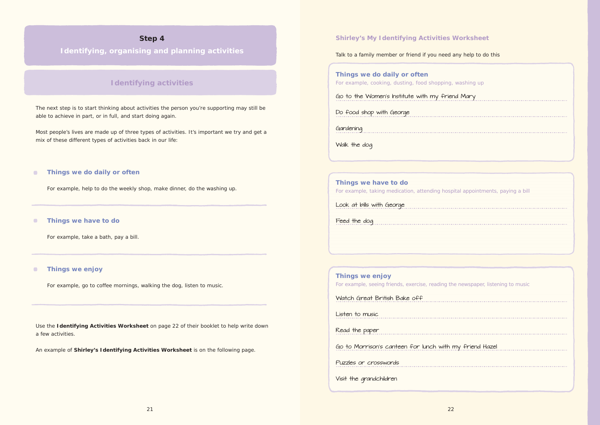## **Shirley's My Identifying Activities Worksheet**

Talk to a family member or friend if you need any help to do this

## **Things we do daily or often**

## **Things we have to do** For example, taking medication, attending hospital approach as

## **Things we enjoy**

### **Things we do daily or often**  $\bullet$

### $\bullet$ **Things we have to do**

### **Things we enjoy**  $\blacksquare$

## **Step 4**

**Identifying, organising and planning activities**

## **Identifying activities**

| Things we do daily or often<br>For example, cooking, dusting, food shopping, washing up                                                                                                                                                                                         |
|---------------------------------------------------------------------------------------------------------------------------------------------------------------------------------------------------------------------------------------------------------------------------------|
| Go to the Women's Institute with my friend Mary                                                                                                                                                                                                                                 |
| Do food shop with George                                                                                                                                                                                                                                                        |
| Gardening                                                                                                                                                                                                                                                                       |
| Walk the dog                                                                                                                                                                                                                                                                    |
|                                                                                                                                                                                                                                                                                 |
| Things we have to do<br>For example, taking medication, attending hospital appointments, paying a bill                                                                                                                                                                          |
| Look at bills with George                                                                                                                                                                                                                                                       |
| Feed the dog                                                                                                                                                                                                                                                                    |
|                                                                                                                                                                                                                                                                                 |
| Things we enjoy<br>For example, seeing friends, exercise, reading the newspaper, listening to music<br>$\mathbf{u}$ $\mathbf{u}$ $\mathbf{v}$ $\mathbf{v}$ $\mathbf{v}$ $\mathbf{v}$ $\mathbf{v}$ $\mathbf{v}$ $\mathbf{v}$ $\mathbf{v}$ $\mathbf{v}$ $\mathbf{v}$ $\mathbf{v}$ |

The next step is to start thinking about activities the person you're supporting may still be able to achieve in part, or in full, and start doing again.

Most people's lives are made up of three types of activities. It's important we try and get a mix of these different types of activities back in our life:

…………………………………………………………………………………………………………………………………………………… Watch Great British Bake off

…………………………………………………………………………………………………………………………………………………… …………………………………………………………………………………………………………………………………………………… Read the paper …………………………………………………………………………………………………………………………………………………… Go to Morrison's canteen for lunch with my friend Hazel Listen to music

For example, help to do the weekly shop, make dinner, do the washing up.

…………………………………………………………………………………………………………………………………………………… Puzzles or crosswords

For example, take a bath, pay a bill.

For example, go to coffee mornings, walking the dog, listen to music.

Use the **Identifying Activities Worksheet** on page 22 of their booklet to help write down a few activities.

An example of **Shirley's Identifying Activities Worksheet** is on the following page.

Gardening

Visit the grandchildren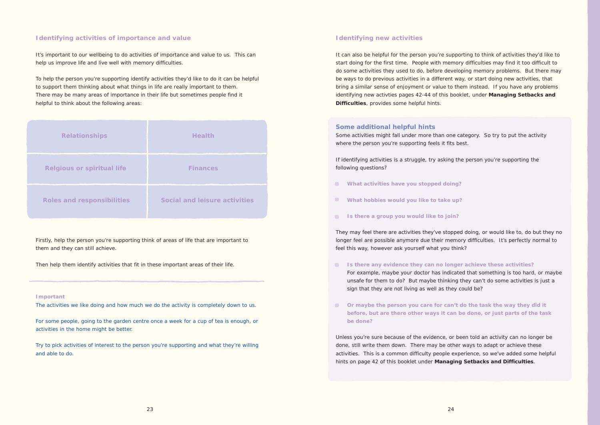### **Identifying new activities**

It can also be helpful for the person you're supporting to think of activities they'd like to start doing for the first time. People with memory difficulties may find it too difficult to do some activities they used to do, before developing memory problems. But there may be ways to do previous activities in a different way, or start doing new activities, that bring a similar sense of enjoyment or value to them instead. If you have any problems identifying new activties pages 42-44 of this booklet, under **Managing Setbacks and Difficulties**, provides some helpful hints.

- **What activities have you stopped doing?**
- **What hobbies would you like to take up?**
- **Is there a group you would like to join?**

### **Some additional helpful hints**

Some activities might fall under more than one category. So try to put the activity where the person you're supporting feels it fits best.

If identifying activities is a struggle, try asking the person you're supporting the following questions?

They may feel there are activities they've stopped doing, or would like to, do but they no longer feel are possible anymore due their memory difficulties. It's perfectly normal to feel this way, however ask yourself what you think?

For example, maybe your doctor has indicated that something is too hard, or maybe

- **Is there any evidence they can no longer achieve these activities?** unsafe for them to do? But maybe thinking they can't do some activities is just a sign that they are not living as well as they could be?
- **Or maybe the person you care for can't do the task the way they did it before, but are there other ways it can be done, or just parts of the task be done?**

Unless you're sure because of the evidence, or been told an activity can no longer be done, still write them down. There may be other ways to adapt or achieve these activities. This is a common difficulty people experience, so we've added some helpful hints on page 42 of this booklet under **Managing Setbacks and Difficulties**.

## **Identifying activities of importance and value**

It's important to our wellbeing to do activities of importance and value to us. This can help us improve life and live well with memory difficulties.

To help the person you're supporting identify activities they'd like to do it can be helpful to support them thinking about what things in life are really important to them. There may be many areas of importance in their life but sometimes people find it helpful to think about the following areas:

Firstly, help the person you're supporting think of areas of life that are important to them and they can still achieve.

Then help them identify activities that fit in these important areas of their life.

### **Important**

The activities we like doing and how much we do the activity is completely down to us.

For some people, going to the garden centre once a week for a cup of tea is enough, or activities in the home might be better.

Try to pick activities of interest to the person you're supporting and what they're willing and able to do.

| <b>Relationships</b>              | <b>Health</b>                 |  |
|-----------------------------------|-------------------------------|--|
| <b>Relgious or spiritual life</b> | <b>Finances</b>               |  |
| Roles and responsibilities        | Social and leisure activities |  |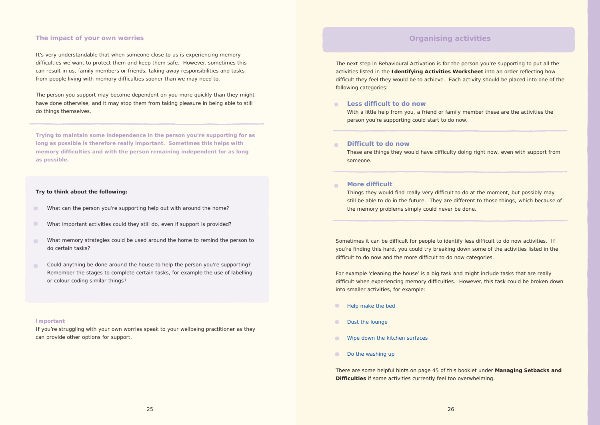### **The impact of your own worries**

It's very understandable that when someone close to us is experiencing memory difficulties we want to protect them and keep them safe. However, sometimes this can result in us, family members or friends, taking away responsibilities and tasks from people living with memory difficulties sooner than we may need to.

The person you support may become dependent on you more quickly than they might have done otherwise, and it may stop them from taking pleasure in being able to still do things themselves.

- $\begin{array}{c} \hline \end{array}$ What can the person you're supporting help out with around the home?
- $\begin{array}{c} \hline \end{array}$ What important activities could they still do, even if support is provided?
- What memory strategies could be used around the home to remind the person to do certain tasks?
- Could anything be done around the house to help the person you're supporting?  $\blacksquare$ Remember the stages to complete certain tasks, for example the use of labelling or colour coding similar things?

**Trying to maintain some independence in the person you're supporting for as long as possible is therefore really important. Sometimes this helps with memory difficulties and with the person remaining independent for as long as possible.** 

### **Try to think about the following:**

### **Difficult to do now**  $\blacksquare$

### **Important**

If you're struggling with your own worries speak to your wellbeing practitioner as they can provide other options for support.

- Help make the bed
- $\bullet$ Dust the lounge
- Wipe down the kitchen surfaces
- Do the washing up  $\bullet$

## **Organising activities**

The next step in Behavioural Activation is for the person you're supporting to put all the activities listed in the **Identifying Activities Worksheet** into an order reflecting how difficult they feel they would be to achieve. Each activity should be placed into one of the following categories:

### **Ress difficult to do now**

With a little help from you, a friend or family member these are the activities the person you're supporting could start to do now.

These are things they would have difficulty doing right now, even with support from someone.

### **More difficult**

Things they would find really very difficult to do at the moment, but possibly may still be able to do in the future. They are different to those things, which because of the memory problems simply could never be done.

Sometimes it can be difficult for people to identify less difficult to do now activities. If you're finding this hard, you could try breaking down some of the activities listed in the difficult to do now and the more difficult to do now categories.

For example 'cleaning the house' is a big task and might include tasks that are really difficult when experiencing memory difficulties. However, this task could be broken down into smaller activities, for example:

There are some helpful hints on page 45 of this booklet under **Managing Setbacks and Difficulties** if some activities currently feel too overwhelming.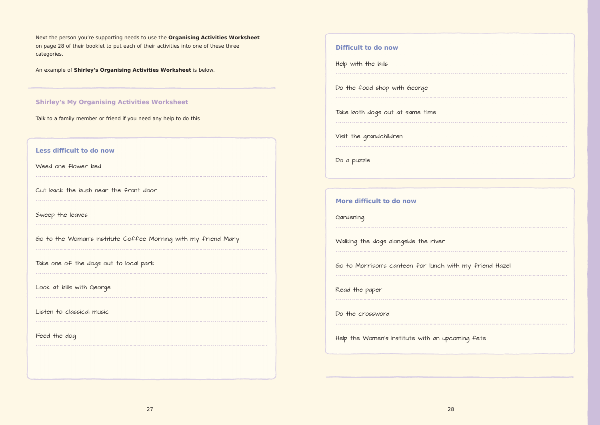### **Difficult to do now**

## **More difficult to do now**

| Difficult to do now<br>Help with the bills              |
|---------------------------------------------------------|
| Do the food shop with George                            |
| Take both dogs out at same time                         |
| Visit the grandchildren                                 |
| Do a puzzle                                             |
| More difficult to do now<br>Gardening                   |
| Walking the dogs alongside the river                    |
| Go to Morrison's canteen for lunch with my friend Hazel |
| Read the paper                                          |
| Do the crossword                                        |
| Help the Women's Institute with an upcoming fete        |

Next the person you're supporting needs to use the **Organising Activities Worksheet** on page 28 of their booklet to put each of their activities into one of these three categories.

An example of **Shirley's Organising Activities Worksheet** is below.

## **Shirley's My Organising Activities Worksheet**

Talk to a family member or friend if you need any help to do this

## **Less difficult to do now**

……………………………………………………………………………………………………………………………………………………

……………………………………………………………………………………………………………………………………………………

……………………………………………………………………………………………………………………………………………………

……………………………………………………………………………………………………………………………………………………

……………………………………………………………………………………………………………………………………………………

……………………………………………………………………………………………………………………………………………………

……………………………………………………………………………………………………………………………………………………

……………………………………………………………………………………………………………………………………………………

Do a puzzle

Gardening

Weed one flower bed

Cut back the bush near the front door

Sweep the leaves

Go to the Woman's Institute Coffee Morning with my friend Mary

Take one of the dogs out to local park

Look at bills with George

Listen to classical music

Feed the dog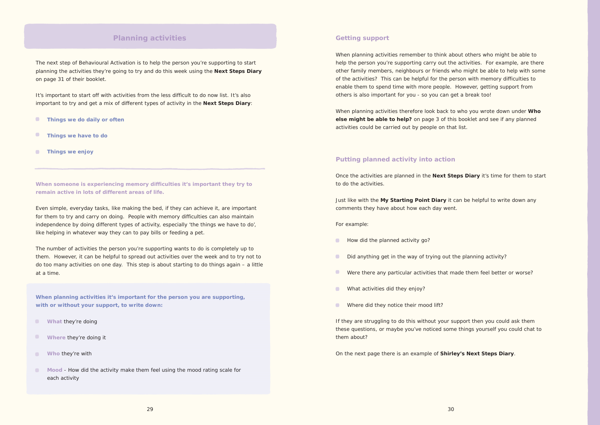### **Getting support**

When planning activities remember to think about others who might be able to help the person you're supporting carry out the activities. For example, are there other family members, neighbours or friends who might be able to help with some of the activities? This can be helpful for the person with memory difficulties to enable them to spend time with more people. However, getting support from others is also important for you - so you can get a break too!

When planning activities therefore look back to who you wrote down under **Who else might be able to help?** on page 3 of this booklet and see if any planned activities could be carried out by people on that list.

## **Putting planned activity into action**

Once the activities are planned in the **Next Steps Diary** it's time for them to start to do the activities.

Just like with the **My Starting Point Diary** it can be helpful to write down any comments they have about how each day went.

It's important to start off with activities from the less difficult to do now list. It's also important to try and get a mix of different types of activity in the **Next Steps Diary**:

- **C** Things we do daily or often
- $\bullet$ **Things we have to do**
- **Things we enjoy**  $\bullet$

### For example:

- **C** How did the planned activity go?
- Did anything get in the way of trying out the planning activity?  $\bullet$
- $\bullet$ Were there any particular activities that made them feel better or worse?
- What activities did they enjoy?  $\bullet$
- Where did they notice their mood lift?  $\bullet$

If they are struggling to do this without your support then you could ask them these questions, or maybe you've noticed some things yourself you could chat to them about?

On the next page there is an example of **Shirley's Next Steps Diary**.

## **Planning activities**

- **What they're doing**
- **Where** they're doing it
- **Who** they're with
- **Mood** How did the activity make them feel using the mood rating scale for each activity

The next step of Behavioural Activation is to help the person you're supporting to start planning the activities they're going to try and do this week using the **Next Steps Diary** on page 31 of their booklet.

**When someone is experiencing memory difficulties it's important they try to remain active in lots of different areas of life.**

Even simple, everyday tasks, like making the bed, if they can achieve it, are important for them to try and carry on doing. People with memory difficulties can also maintain independence by doing different types of activity, especially 'the things we have to do', like helping in whatever way they can to pay bills or feeding a pet.

The number of activities the person you're supporting wants to do is completely up to them. However, it can be helpful to spread out activities over the week and to try not to do too many activities on one day. This step is about starting to do things again – a little at a time.

**When planning activities it's important for the person you are supporting, with or without your support, to write down:**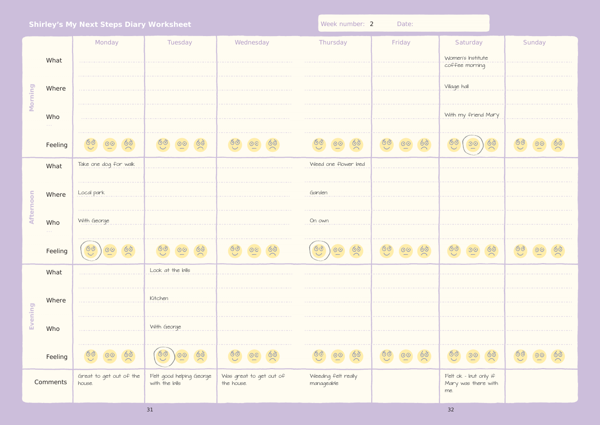| <b>Shirley's My Next Steps Diary Worksheet</b> |          |                                        | Week number: 2<br>Date:                                    |                                       |                                                    |                                                 |                                                     |                                          |
|------------------------------------------------|----------|----------------------------------------|------------------------------------------------------------|---------------------------------------|----------------------------------------------------|-------------------------------------------------|-----------------------------------------------------|------------------------------------------|
|                                                | What     | Monday                                 | Tuesday                                                    | Wednesday                             | Thursday                                           | Friday                                          | Saturday<br>Women's Institute<br>coffee morning     | Sunday                                   |
| Morning                                        | Where    |                                        |                                                            |                                       |                                                    |                                                 | Village hall                                        |                                          |
|                                                | Who      |                                        |                                                            |                                       |                                                    |                                                 | With my friend Mary                                 |                                          |
|                                                | Feeling  | 50<br>$\bigodot$<br>$\circledcirc$     | $\begin{pmatrix} 60 & 0 & 60 \\ - & 60 & 60 \end{pmatrix}$ | 600000                                | 60<br>$\bigodot$<br>100/                           | $\begin{pmatrix} 60 & 00 & 60 \end{pmatrix}$    | $\frac{1}{6}$<br>$rac{6}{3}$<br>$\circledcirc$      | $rac{6}{3}$<br>60<br>$\underline{\odot}$ |
|                                                | What     | Take one dog for walk                  |                                                            |                                       | Weed one flower bed                                |                                                 |                                                     |                                          |
| Afternoon                                      | Where    | Local park                             |                                                            |                                       | Garden                                             |                                                 |                                                     |                                          |
|                                                | Who      | With George                            |                                                            |                                       | On own                                             |                                                 |                                                     |                                          |
|                                                | Feeling  | $\frac{1}{2}$<br>$\bigcirc$<br>$\odot$ | $\odot$<br>$\frac{1}{2}$                                   |                                       | $\bigodot$<br>$\frac{1}{2}$<br>$\underline{\odot}$ | $\frac{1}{\sqrt{2}}$<br>$\odot$                 | $\frac{1}{2}$                                       | $\odot$                                  |
| Evening                                        | What     |                                        | Look at the bills                                          |                                       |                                                    |                                                 |                                                     |                                          |
|                                                | Where    |                                        | Kitchen                                                    |                                       |                                                    |                                                 |                                                     |                                          |
|                                                | Who      |                                        | With George                                                |                                       |                                                    |                                                 |                                                     |                                          |
|                                                | Feeling  | $\frac{1}{2}$<br>$\odot$<br>ၜၜ         | 60<br>$\frac{1}{2}$<br>$\underline{\odot}$                 | $\frac{1}{2}$                         | $\frac{1}{2}$<br>$\underline{\circ}\circ$          | $\odot$<br>$\frac{1}{2}$<br>$\underline{\odot}$ | $\odot$<br>$\frac{1}{2}$<br>$\frac{1}{10}$          | $\odot$                                  |
|                                                | Comments | Great to get out of the<br>house.      | Felt good helping George<br>with the bills                 | Was great to get out of<br>the house. | Weeding felt really<br>manageable                  |                                                 | Felt ok - but only if<br>Mary was there with<br>me. |                                          |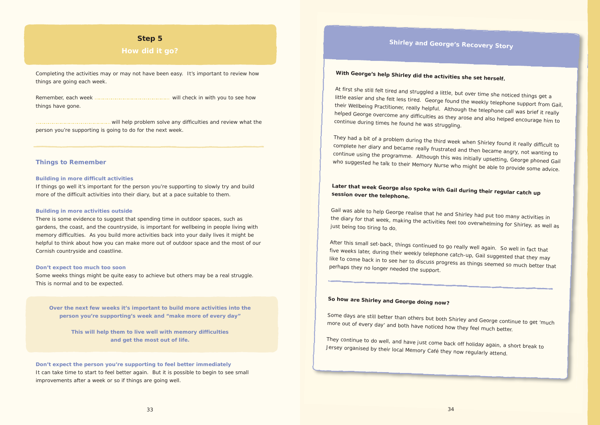# **Shirley and George's Recovery Story**

# **With George's help Shirley did the activities she set herself.**

At first she still felt tired and struggled a little, but over time she noticed things get a little easier and she felt less tired. George found the weekly telephone support from Gail, their Wellbeing Practitioner, really helpful. Although the telephone call was brief it really helped George overcome any difficulties as they arose and also helped encourage him to continue during times he found he was struggling.

They had a bit of a problem during the third week when Shirley found it really difficult to complete her diary and became really frustrated and then became angry, not wanting to continue using the programme. Although this was initially upsetting, George phoned Gail who suggested he talk to their Memory Nurse who might be able to provide some advice.

**Later that week George also spoke with Gail during their regular catch up session over the telephone.** 

Gail was able to help George realise that he and Shirley had put too many activities in the diary for that week, making the activities feel too overwhelming for Shirley, as well as just being too tiring to do.

After this small set-back, things continued to go really well again. So well in fact that five weeks later, during their weekly telephone catch-up, Gail suggested that they may like to come back in to see her to discuss progress as things seemed so much better that perhaps they no longer needed the support.

will help problem solve any difficulties and review what the person you're supporting is going to do for the next week.

# **So how are Shirley and George doing now?**

Some days are still better than others but both Shirley and George continue to get 'much more out of every day' and both have noticed how they feel much better.

They continue to do well, and have just come back off holiday again, a short break to Jersey organised by their local Memory Café they now regularly attend.

## **Step 5**

Completing the activities may or may not have been easy. It's important to review how things are going each week.

Remember, each week ……………………………………………… will check in with you to see how things have gone.

### **Things to Remember**

### **Building in more difficult activities**

If things go well it's important for the person you're supporting to slowly try and build more of the difficult activities into their diary, but at a pace suitable to them.

### **Building in more activities outside**

There is some evidence to suggest that spending time in outdoor spaces, such as gardens, the coast, and the countryside, is important for wellbeing in people living with memory difficulties. As you build more activities back into your daily lives it might be helpful to think about how you can make more out of outdoor space and the most of our Cornish countryside and coastline.

### **Don't expect too much too soon**

Some weeks things might be quite easy to achieve but others may be a real struggle. This is normal and to be expected.

**Over the next few weeks it's important to build more activities into the person you're supporting's week and "make more of every day"** 

> **This will help them to live well with memory difficulties and get the most out of life.**

**Don't expect the person you're supporting to feel better immediately** It can take time to start to feel better again. But it is possible to begin to see small improvements after a week or so if things are going well.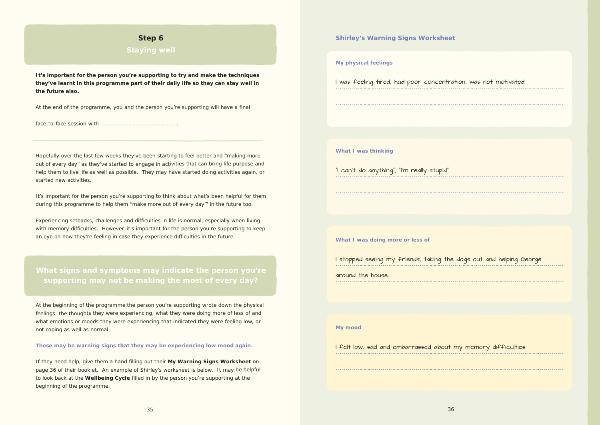

## **Shirley's Warning Signs Worksheet**

### **My physical feelings**

### **What I was thinking**

| I was feeling tired, had poor concentration, was not motivated      |
|---------------------------------------------------------------------|
|                                                                     |
|                                                                     |
| What I was thinking                                                 |
| "I can't do anything", "I'm really stupid"                          |
|                                                                     |
|                                                                     |
| What I was doing more or less of                                    |
| I stopped seeing my friends, taking the dogs out and helping George |
| around the house                                                    |
|                                                                     |
|                                                                     |
| My mood                                                             |
| l felt low, sad and embarrassed about my memory difficulties        |
|                                                                     |
|                                                                     |

### **What I was doing more or less of**

### **My mood**

## **Step 6**

**It's important for the person you're supporting to try and make the techniques they've learnt in this programme part of their daily life so they can stay well in the future also.**

At the end of the programme, you and the person you're supporting will have a final

face-to-face session with

Hopefully over the last few weeks they've been starting to feel better and "making more out of every day" as they've started to engage in activities that can bring life purpose and help them to live life as well as possible. They may have started doing activities again, or started new activities.

It's important for the person you're supporting to think about what's been helpful for them during this programme to help them "make more out of every day'" in the future too.

Experiencing setbacks, challenges and difficulties in life is normal, especially when living with memory difficulties. However, it's important for the person you're supporting to keep an eye on how they're feeling in case they experience difficulties in the future.

## **What signs and symptoms may indicate the person you're supporting may not be making the most of every day?**

At the beginning of the programme the person you're supporting wrote down the physical feelings, the thoughts they were experiencing, what they were doing more of less of and what emotions or moods they were experiencing that indicated they were feeling low, or not coping as well as normal.

**These may be warning signs that they may be experiencing low mood again.**

If they need help, give them a hand filling out their **My Warning Signs Worksheet** on page 36 of their booklet. An example of Shirley's worksheet is below. It may be helpful to look back at the **Wellbeing Cycle** filled in by the person you're supporting at the beginning of the programme.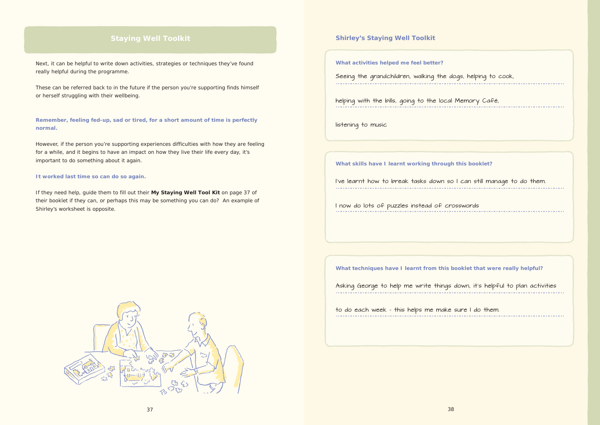### **Shirley's Staying Well Toolkit**

**What activities helped me feel better?**

**What skills have I learnt working through this booklet?** 

**What techniques have I learnt from this booklet that were really helpful?**

## **Staying Well Toolkit**

Next, it can be helpful to write down activities, strategies or techniques they've found really helpful during the programme.

These can be referred back to in the future if the person you're supporting finds himself or herself struggling with their wellbeing.

| Seeing the grandchildren, walking the dogs, helping to cook, |  |
|--------------------------------------------------------------|--|
| helping with the bills, going to the local Memory Café,      |  |

**Remember, feeling fed-up, sad or tired, for a short amount of time is perfectly normal.** 

………………………………………………………………………………………………………………………… I've learnt how to break tasks down so I can still manage to do them.

………………………………………………………………………………………………………………………… I now do lots of puzzles instead of crosswords

However, if the person you're supporting experiences difficulties with how they are feeling for a while, and it begins to have an impact on how they live their life every day, it's important to do something about it again.

………………………………………………………………………………………………………………………… Asking George to help me write things down, it's helpful to plan activities

………………………………………………………………………………………………………………………… to do each week – this helps me make sure I do them.

### **It worked last time so can do so again.**

If they need help, guide them to fill out their **My Staying Well Tool Kit** on page 37 of their booklet if they can, or perhaps this may be something you can do? An example of Shirley's worksheet is opposite.



listening to music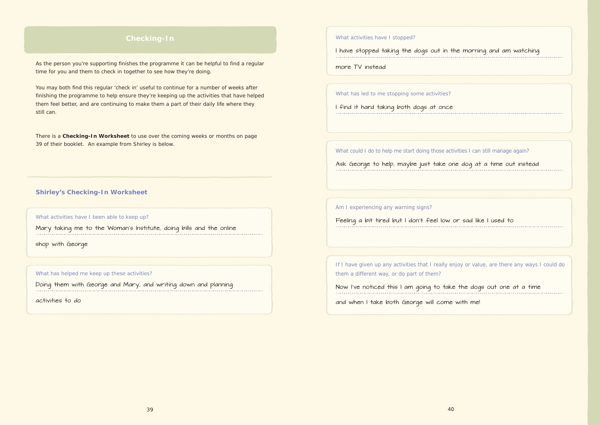As the person you're supporting finishes the programme it can be helpful to find a regular time for you and them to check in together to see how they're doing.

You may both find this regular 'check in' useful to continue for a number of weeks after finishing the programme to help ensure they're keeping up the activities that have helped them feel better, and are continuing to make them a part of their daily life where they still can.

There is a **Checking-In Worksheet** to use over the coming weeks or months on page 39 of their booklet. An example from Shirley is below.

## **Shirley's Checking-In Worksheet**

What activities have I been able to keep up?

What has helped me keep up these activities?

………………………………………………………………………………………………………………………………………………… Mary taking me to the Woman's Institute, doing bills and the online

………………………………………………………………………………………………………………………………………………… Doing them with George and Mary, and writing down and planning

shop with George

activities to do

I have stopped taking the dogs out in the morning and am watching

more TV instead

I find it hard taking both dogs at once

What could I do to help me start doing those activities I can still manage again?

Ask George to help, maybe just take one dog at a time out instead

Feeling a bit tired but I don't feel low or sad like I used to

Now I've noticed this I am going to take the dogs out one at a time

and when I take both George will come with me!

### What activities have I stopped?

What has led to me stopping some activities?



Am I experiencing any warning signs?

If I have given up any activities that I really enjoy or value, are there any ways I could do them a different way, or do part of them?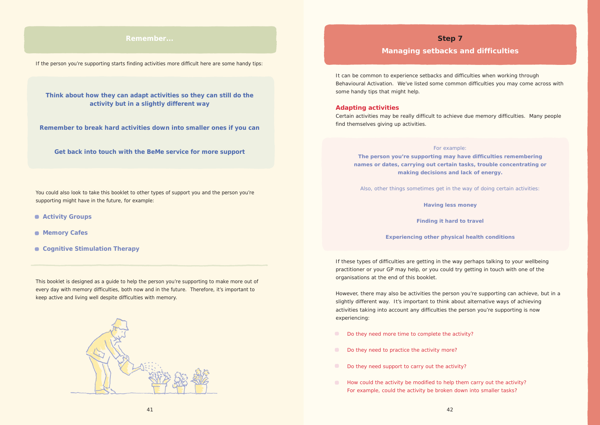# **Step 7 Managing setbacks and difficulties**

It can be common to experience setbacks and difficulties when working through Behavioural Activation. We've listed some common difficulties you may come across with some handy tips that might help.

### **Adapting activities**

Certain activities may be really difficult to achieve due memory difficulties. Many people find themselves giving up activities.

For example: **The person you're supporting may have difficulties remembering names or dates, carrying out certain tasks, trouble concentrating or making decisions and lack of energy.** 

Also, other things sometimes get in the way of doing certain activities:

**Having less money** 

**Finding it hard to travel**

**Experiencing other physical health conditions**

If these types of difficulties are getting in the way perhaps talking to your wellbeing practitioner or your GP may help, or you could try getting in touch with one of the organisations at the end of this booklet.

However, there may also be activities the person you're supporting can achieve, but in a slightly different way. It's important to think about alternative ways of achieving activities taking into account any difficulties the person you're supporting is now experiencing:

- Do they need more time to complete the activity?
- Do they need to practice the activity more?  $\bullet$
- Do they need support to carry out the activity?
- $\Box$  How could the activity be modified to help them carry out the activity? For example, could the activity be broken down into smaller tasks?

If the person you're supporting starts finding activities more difficult here are some handy tips:

**Think about how they can adapt activities so they can still do the activity but in a slightly different way**

**Remember to break hard activities down into smaller ones if you can**

**Get back into touch with the BeMe service for more support**

You could also look to take this booklet to other types of support you and the person you're supporting might have in the future, for example:

- **Activity Groups**
- **Memory Cafes**
- **Cognitive Stimulation Therapy**

This booklet is designed as a guide to help the person you're supporting to make more out of every day with memory difficulties, both now and in the future. Therefore, it's important to keep active and living well despite difficulties with memory.

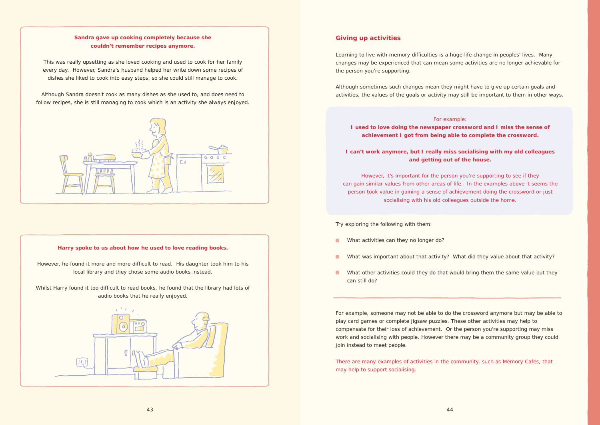### **Sandra gave up cooking completely because she couldn't remember recipes anymore.**

This was really upsetting as she loved cooking and used to cook for her family every day. However, Sandra's husband helped her write down some recipes of dishes she liked to cook into easy steps, so she could still manage to cook.

Although Sandra doesn't cook as many dishes as she used to, and does need to follow recipes, she is still managing to cook which is an activity she always enjoyed.



### **Harry spoke to us about how he used to love reading books.**

However, he found it more and more difficult to read. His daughter took him to his local library and they chose some audio books instead.

Whilst Harry found it too difficult to read books, he found that the library had lots of audio books that he really enjoyed.



## **Giving up activities**

Learning to live with memory difficulties is a huge life change in peoples' lives. Many changes may be experienced that can mean some activities are no longer achievable for the person you're supporting.

- What activities can they no longer do?  $\bullet$
- What was important about that activity? What did they value about that activity?  $\bullet$
- $\bullet$ What other activities could they do that would bring them the same value but they can still do?

Although sometimes such changes mean they might have to give up certain goals and activities, the values of the goals or activity may still be important to them in other ways.

### For example:

**I used to love doing the newspaper crossword and I miss the sense of achievement I got from being able to complete the crossword.**

**I can't work anymore, but I really miss socialising with my old colleagues and getting out of the house.**

However, it's important for the person you're supporting to see if they can gain similar values from other areas of life. In the examples above it seems the person took value in gaining a sense of achievement doing the crossword or just socialising with his old colleagues outside the home.

Try exploring the following with them:

For example, someone may not be able to do the crossword anymore but may be able to play card games or complete jigsaw puzzles. These other activities may help to compensate for their loss of achievement. Or the person you're supporting may miss work and socialising with people. However there may be a community group they could join instead to meet people.

There are many examples of activities in the community, such as Memory Cafes, that may help to support socialising.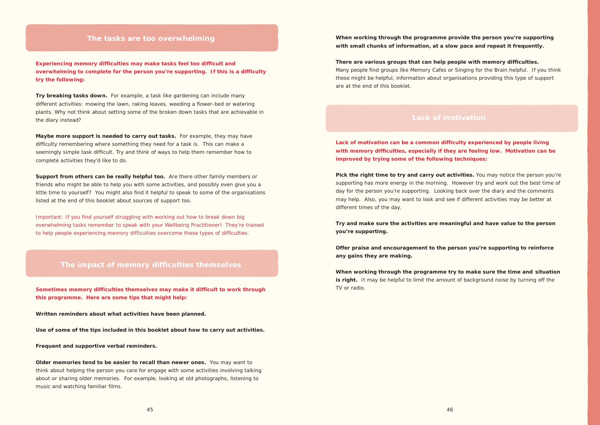## **The tasks are too overwhelming**

**Experiencing memory difficulties may make tasks feel too difficult and overwhelming to complete for the person you're supporting. If this is a difficulty try the following:**

**Try breaking tasks down.** For example, a task like gardening can include many different activities: mowing the lawn, raking leaves, weeding a flower-bed or watering plants. Why not think about setting some of the broken down tasks that are achievable in the diary instead?

**Maybe more support is needed to carry out tasks.** For example, they may have difficulty remembering where something they need for a task is. This can make a seemingly simple task difficult. Try and think of ways to help them remember how to complete activities they'd like to do.

**Support from others can be really helpful too.** Are there other family members or friends who might be able to help you with some activities, and possibly even give you a little time to yourself? You might also find it helpful to speak to some of the organisations listed at the end of this booklet about sources of support too.

Important: If you find yourself struggling with working out how to break down big overwhelming tasks remember to speak with your Wellbeing Practitioner! They're trained to help people experiencing memory difficulties overcome these types of difficulties.

## **The impact of memory difficulties themselves**

**Sometimes memory difficulties themselves may make it difficult to work through this programme. Here are some tips that might help:**

**Written reminders about what activities have been planned.**

**Use of some of the tips included in this booklet about how to carry out activities.** 

**Frequent and supportive verbal reminders.**

**Older memories tend to be easier to recall than newer ones.** You may want to think about helping the person you care for engage with some activities involving talking about or sharing older memories. For example, looking at old photographs, listening to music and watching familiar films.

**When working through the programme provide the person you're supporting with small chunks of information, at a slow pace and repeat it frequently.** 

**There are various groups that can help people with memory difficulties.** Many people find groups like Memory Cafes or Singing for the Brain helpful. If you think these might be helpful, information about organisations providing this type of support are at the end of this booklet.

**Lack of motivation can be a common difficulty experienced by people living with memory difficulties, especially if they are feeling low. Motivation can be improved by trying some of the following techniques:**

**Pick the right time to try and carry out activities.** You may notice the person you're supporting has more energy in the morning. However try and work out the best time of day for the person you're supporting. Looking back over the diary and the comments may help. Also, you may want to look and see if different activities may be better at different times of the day.

**Try and make sure the activities are meaningful and have value to the person you're supporting.**

**Offer praise and encouragement to the person you're supporting to reinforce any gains they are making.**

**When working through the programme try to make sure the time and situation is right.** It may be helpful to limit the amount of background noise by turning off the TV or radio.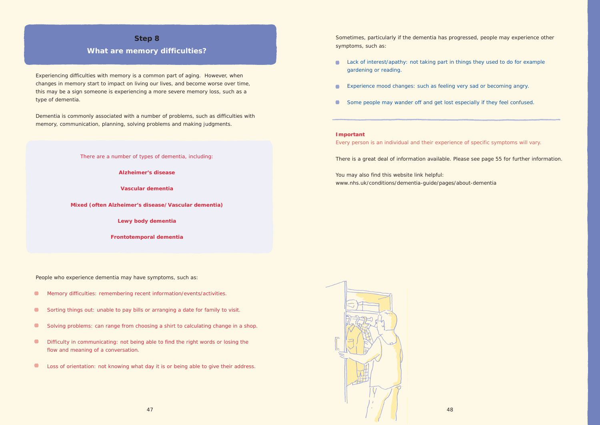Sometimes, particularly if the dementia has progressed, people may experience other symptoms, such as:

- **C** Lack of interest/apathy: not taking part in things they used to do for example gardening or reading.
- Experience mood changes: such as feeling very sad or becoming angry.  $\blacksquare$
- Some people may wander off and get lost especially if they feel confused.  $\blacksquare$

You may also find this website link helpful: www.nhs.uk/conditions/dementia-guide/pages/about-dementia



### **Important**

Every person is an individual and their experience of specific symptoms will vary.

There is a great deal of information available. Please see page 55 for further information.

## **Step 8**

## **What are memory difficulties?**

Experiencing difficulties with memory is a common part of aging. However, when changes in memory start to impact on living our lives, and become worse over time, this may be a sign someone is experiencing a more severe memory loss, such as a type of dementia.

- $\bullet$ Memory difficulties: remembering recent information/events/activities.
- Sorting things out: unable to pay bills or arranging a date for family to visit.  $\bullet$
- $\bullet$ Solving problems: can range from choosing a shirt to calculating change in a shop.
- $\bullet$ Difficulty in communicating: not being able to find the right words or losing the flow and meaning of a conversation.
- $\bullet$ Loss of orientation: not knowing what day it is or being able to give their address.

Dementia is commonly associated with a number of problems, such as difficulties with memory, communication, planning, solving problems and making judgments.

There are a number of types of dementia, including:

**Alzheimer's disease**

**Vascular dementia** 

**Mixed (often Alzheimer's disease/Vascular dementia)** 

**Lewy body dementia**

**Frontotemporal dementia**

People who experience dementia may have symptoms, such as: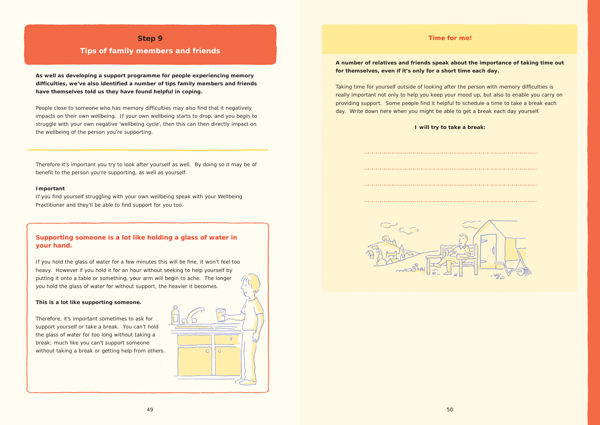## **Step 9**

## **Tips of family members and friends**

**As well as developing a support programme for people experiencing memory difficulties, we've also identified a number of tips family members and friends have themselves told us they have found helpful in coping.**

People close to someone who has memory difficulties may also find that it negatively impacts on their own wellbeing. If your own wellbeing starts to drop, and you begin to struggle with your own negative 'wellbeing cycle', then this can then directly impact on the wellbeing of the person you're supporting.

Therefore it's important you try to look after yourself as well. By doing so it may be of benefit to the person you're supporting, as well as yourself.

### **Important**

If you find yourself struggling with your own wellbeing speak with your Wellbeing Practitioner and they'll be able to find support for you too.

### **Time for me!**

# **A number of relatives and friends speak about the importance of taking time out**

**for themselves, even if it's only for a short time each day.**

Taking time for yourself outside of looking after the person with memory difficulties is really important not only to help you keep your mood up, but also to enable you carry on providing support. Some people find it helpful to schedule a time to take a break each day. Write down here when you might be able to get a break each day yourself.

### **I will try to take a break:**



## **Supporting someone is a lot like holding a glass of water in your hand.**

If you hold the glass of water for a few minutes this will be fine, it won't feel too heavy. However if you hold it for an hour without seeking to help yourself by putting it onto a table or something, your arm will begin to ache. The longer you hold the glass of water for without support, the heavier it becomes.

### **This is a lot like supporting someone.**

Therefore, it's important sometimes to ask for support yourself or take a break. You can't hold the glass of water for too long without taking a break; much like you can't support someone without taking a break or getting help from others.

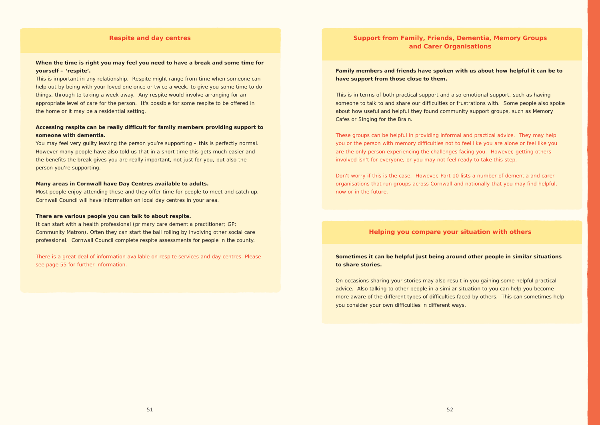## **Support from Family, Friends, Dementia, Memory Groups and Carer Organisations**

**Family members and friends have spoken with us about how helpful it can be to have support from those close to them.**

This is in terms of both practical support and also emotional support, such as having someone to talk to and share our difficulties or frustrations with. Some people also spoke about how useful and helpful they found community support groups, such as Memory Cafes or Singing for the Brain.

These groups can be helpful in providing informal and practical advice. They may help you or the person with memory difficulties not to feel like you are alone or feel like you are the only person experiencing the challenges facing you. However, getting others involved isn't for everyone, or you may not feel ready to take this step.

Don't worry if this is the case. However, Part 10 lists a number of dementia and carer organisations that run groups across Cornwall and nationally that you may find helpful, now or in the future.

## **Helping you compare your situation with others**

### **Sometimes it can be helpful just being around other people in similar situations**

**to share stories.**

On occasions sharing your stories may also result in you gaining some helpful practical advice. Also talking to other people in a similar situation to you can help you become more aware of the different types of difficulties faced by others. This can sometimes help you consider your own difficulties in different ways.

It can start with a health professional (primary care dementia practitioner; GP; Community Matron). Often they can start the ball rolling by involving other social care professional. Cornwall Council complete respite assessments for people in the county.

### **Respite and day centres**

### **When the time is right you may feel you need to have a break and some time for yourself – 'respite'.**

This is important in any relationship. Respite might range from time when someone can help out by being with your loved one once or twice a week, to give you some time to do things, through to taking a week away. Any respite would involve arranging for an appropriate level of care for the person. It's possible for some respite to be offered in the home or it may be a residential setting.

### **Accessing respite can be really difficult for family members providing support to someone with dementia.**

You may feel very guilty leaving the person you're supporting – this is perfectly normal. However many people have also told us that in a short time this gets much easier and the benefits the break gives you are really important, not just for you, but also the person you're supporting.

### **Many areas in Cornwall have Day Centres available to adults.**

Most people enjoy attending these and they offer time for people to meet and catch up. Cornwall Council will have information on local day centres in your area.

### **There are various people you can talk to about respite.**

There is a great deal of information available on respite services and day centres. Please see page 55 for further information.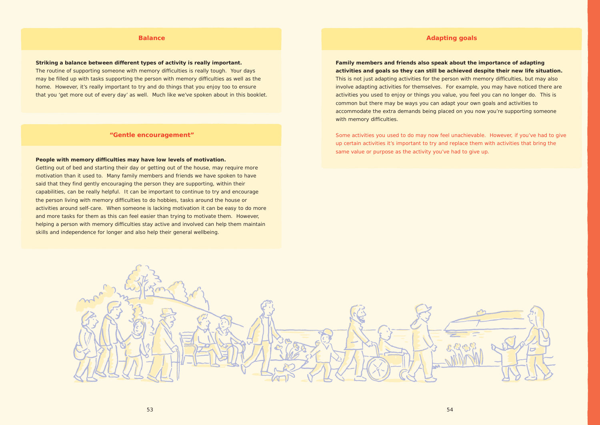### **Balance**

**Striking a balance between different types of activity is really important.**

The routine of supporting someone with memory difficulties is really tough. Your days may be filled up with tasks supporting the person with memory difficulties as well as the home. However, it's really important to try and do things that you enjoy too to ensure that you 'get more out of every day' as well. Much like we've spoken about in this booklet.

### **"Gentle encouragement"**

### **People with memory difficulties may have low levels of motivation.**

**Family members and friends also speak about the importance of adapting activities and goals so they can still be achieved despite their new life situation.** This is not just adapting activities for the person with memory difficulties, but may also involve adapting activities for themselves. For example, you may have noticed there are activities you used to enjoy or things you value, you feel you can no longer do. This is common but there may be ways you can adapt your own goals and activities to accommodate the extra demands being placed on you now you're supporting someone with memory difficulties.

Getting out of bed and starting their day or getting out of the house, may require more motivation than it used to. Many family members and friends we have spoken to have said that they find gently encouraging the person they are supporting, within their capabilities, can be really helpful. It can be important to continue to try and encourage the person living with memory difficulties to do hobbies, tasks around the house or activities around self-care. When someone is lacking motivation it can be easy to do more and more tasks for them as this can feel easier than trying to motivate them. However, helping a person with memory difficulties stay active and involved can help them maintain skills and independence for longer and also help their general wellbeing.

## **Adapting goals**

Some activities you used to do may now feel unachievable. However, if you've had to give up certain activities it's important to try and replace them with activities that bring the same value or purpose as the activity you've had to give up.

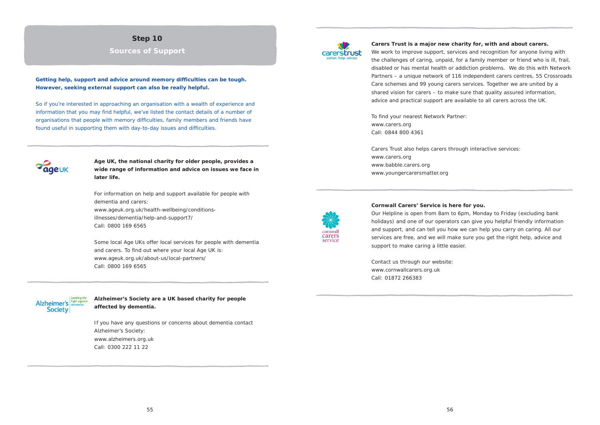**Age UK, the national charity for older people, provides a wide range of information and advice on issues we face in later life.**

For information on help and support available for people with dementia and carers: www.ageuk.org.uk/health-wellbeing/conditionsillnesses/dementia/help-and-support7/

Call: 0800 169 6565

Some local Age UKs offer local services for people with dementia and carers. To find out where your local Age UK is: www.ageuk.org.uk/about-us/local-partners/ Call: 0800 169 6565



**Alzheimer's Society are a UK based charity for people affected by dementia.** 

If you have any questions or concerns about dementia contact Alzheimer's Society: www.alzheimers.org.uk Call: 0300 222 11 22



## **Step 10**

## **Sources of Support**

**Getting help, support and advice around memory difficulties can be tough. However, seeking external support can also be really helpful.**

So if you're interested in approaching an organisation with a wealth of experience and information that you may find helpful, we've listed the contact details of a number of organisations that people with memory difficulties, family members and friends have found useful in supporting them with day-to-day issues and difficulties.



**Carers Trust is a major new charity for, with and about carers.** We work to improve support, services and recognition for anyone living with the challenges of caring, unpaid, for a family member or friend who is ill, frail, disabled or has mental health or addiction problems. We do this with Network Partners – a unique network of 116 independent carers centres, 55 Crossroads Care schemes and 99 young carers services. Together we are united by a shared vision for carers – to make sure that quality assured information, advice and practical support are available to all carers across the UK.

To find your nearest Network Partner: www.carers.org Call: 0844 800 4361

Carers Trust also helps carers through interactive services: www.carers.org www.babble.carers.org www.youngercarersmatter.org



**Cornwall Carers' Service is here for you.**

Our Helpline is open from 8am to 6pm, Monday to Friday (excluding bank holidays) and one of our operators can give you helpful friendly information and support, and can tell you how we can help you carry on caring. All our services are free, and we will make sure you get the right help, advice and support to make caring a little easier.

Contact us through our website: www.cornwallcarers.org.uk Call: 01872 266383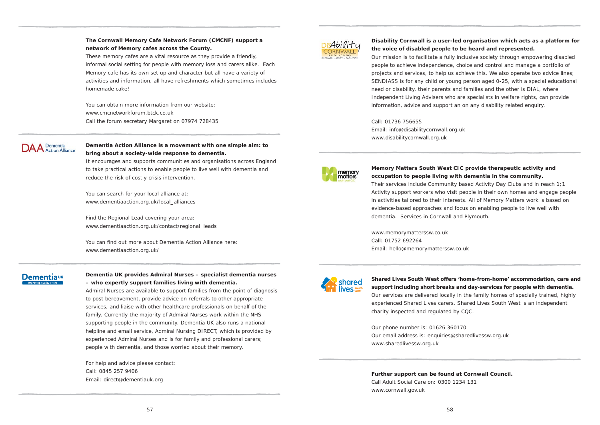### **The Cornwall Memory Cafe Network Forum (CMCNF) support a network of Memory cafes across the County.**

These memory cafes are a vital resource as they provide a friendly, informal social setting for people with memory loss and carers alike. Each Memory cafe has its own set up and character but all have a variety of activities and information, all have refreshments which sometimes includes homemade cake!

You can search for your local alliance at: www.dementiaaction.org.uk/local\_alliances

You can obtain more information from our website: www.cmcnetworkforum.btck.co.uk Call the forum secretary Margaret on 07974 728435



### **Dementia Action Alliance is a movement with one simple aim: to bring about a society-wide response to dementia.**

It encourages and supports communities and organisations across England to take practical actions to enable people to live well with dementia and reduce the risk of costly crisis intervention.

Find the Regional Lead covering your area: www.dementiaaction.org.uk/contact/regional\_leads

You can find out more about Dementia Action Alliance here: www.dementiaaction.org.uk/

# **Dementia**uk

**Dementia UK provides Admiral Nurses – specialist dementia nurses – who expertly support families living with dementia.** Admiral Nurses are available to support families from the point of diagnosis to post bereavement, provide advice on referrals to other appropriate services, and liaise with other healthcare professionals on behalf of the family. Currently the majority of Admiral Nurses work within the NHS supporting people in the community. Dementia UK also runs a national helpline and email service, Admiral Nursing DIRECT, which is provided by experienced Admiral Nurses and is for family and professional carers; people with dementia, and those worried about their memory.

For help and advice please contact: Call: 0845 257 9406 Email: direct@dementiauk.org



**Disability Cornwall is a user-led organisation which acts as a platform for the voice of disabled people to be heard and represented.** Our mission is to facilitate a fully inclusive society through empowering disabled people to achieve independence, choice and control and manage a portfolio of projects and services, to help us achieve this. We also operate two advice lines; SENDIASS is for any child or young person aged 0-25, with a special educational need or disability, their parents and families and the other is DIAL, where Independent Living Advisers who are specialists in welfare rights, can provide information, advice and support an on any disability related enquiry.

Call: 01736 756655 Email: info@disabilitycornwall.org.uk www.disabilitycornwall.org.uk



**Memory Matters South West CIC provide therapeutic activity and occupation to people living with dementia in the community.** Their services include Community based Activity Day Clubs and in reach 1;1 Activity support workers who visit people in their own homes and engage people in activities tailored to their interests. All of Memory Matters work is based on evidence-based approaches and focus on enabling people to live well with dementia. Services in Cornwall and Plymouth.

www.memorymatterssw.co.uk Call: 01752 692264 Email: hello@memorymatterssw.co.uk

**Shared Lives South West offers 'home-from-home' accommodation, care and support including short breaks and day-services for people with dementia.** Our services are delivered locally in the family homes of specially trained, highly experienced Shared Lives carers. Shared Lives South West is an independent charity inspected and regulated by CQC.

Our phone number is: 01626 360170 Our email address is: enquiries@sharedlivessw.org.uk www.sharedlivessw.org.uk

**Further support can be found at Cornwall Council.** Call Adult Social Care on: 0300 1234 131

www.cornwall.gov.uk

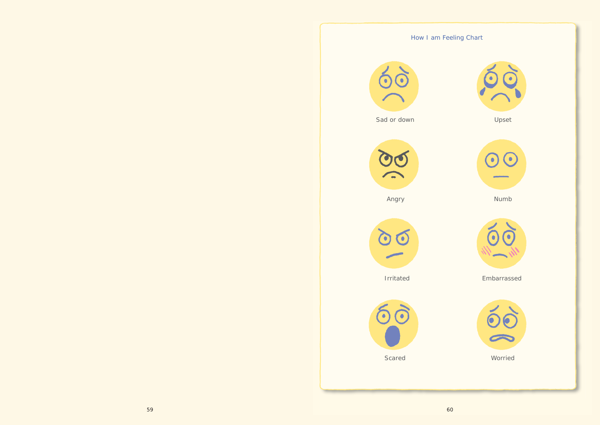